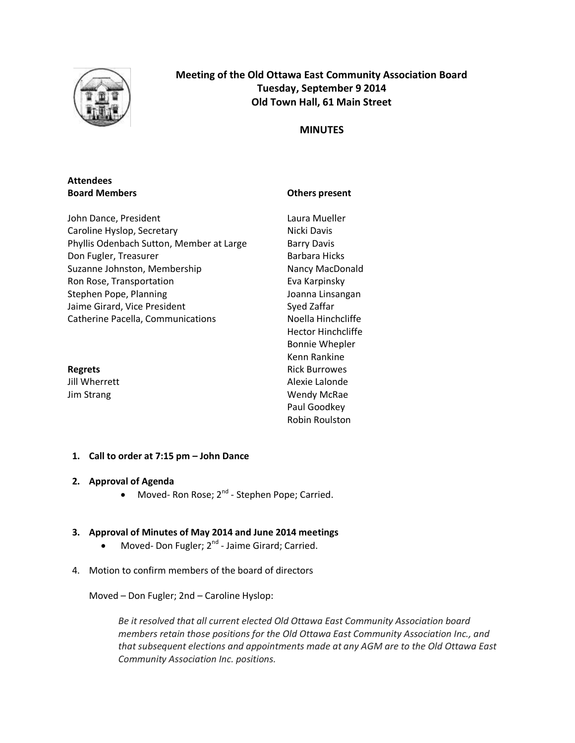

# **Meeting of the Old Ottawa East Community Association Board Tuesday, September 9 2014 Old Town Hall, 61 Main Street**

# **MINUTES**

# **Attendees Board Members**

# **Others present**

| John Dance, President                    |
|------------------------------------------|
| Caroline Hyslop, Secretary               |
| Phyllis Odenbach Sutton, Member at Large |
| Don Fugler, Treasurer                    |
| Suzanne Johnston, Membership             |
| Ron Rose, Transportation                 |
| Stephen Pope, Planning                   |
| Jaime Girard, Vice President             |
| <b>Catherine Pacella, Communications</b> |
|                                          |

Laura Mueller Nicki Davis Barry Davis Barbara Hicks Nancy MacDonald Eva Karpinsky Joanna Linsangan Syed Zaffar Noella Hinchcliffe Hector Hinchcliffe Bonnie Whepler Kenn Rankine Rick Burrowes Alexie Lalonde Wendy McRae Paul Goodkey Robin Roulston

**Regrets** Jill Wherrett Jim Strang

# **1. Call to order at 7:15 pm – John Dance**

# **2. Approval of Agenda**

• Moved- Ron Rose; 2<sup>nd</sup> - Stephen Pope; Carried.

# **3. Approval of Minutes of May 2014 and June 2014 meetings**

- Moved- Don Fugler; 2<sup>nd</sup> Jaime Girard; Carried.
- 4. Motion to confirm members of the board of directors

Moved – Don Fugler; 2nd – Caroline Hyslop:

*Be it resolved that all current elected Old Ottawa East Community Association board members retain those positions for the Old Ottawa East Community Association Inc., and that subsequent elections and appointments made at any AGM are to the Old Ottawa East Community Association Inc. positions.*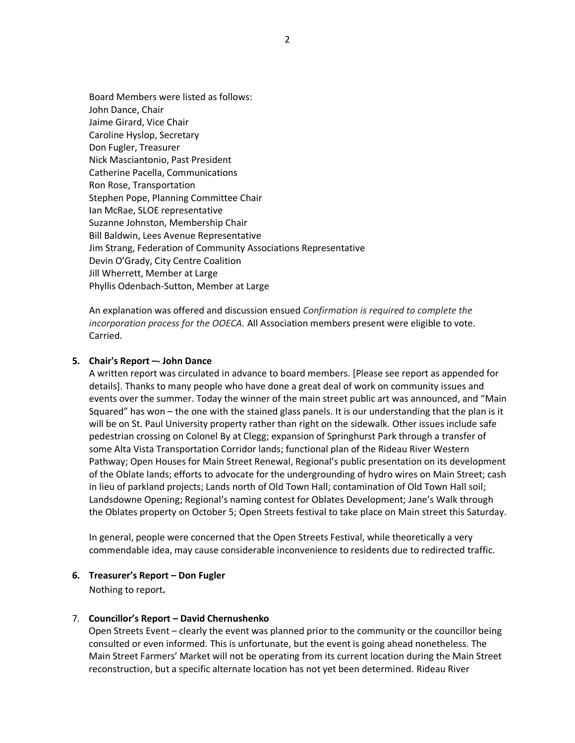Board Members were listed as follows: John Dance, Chair Jaime Girard, Vice Chair Caroline Hyslop, Secretary Don Fugler, Treasurer Nick Masciantonio, Past President Catherine Pacella, Communications Ron Rose, Transportation Stephen Pope, Planning Committee Chair Ian McRae, SLOE representative Suzanne Johnston, Membership Chair Bill Baldwin, Lees Avenue Representative Jim Strang, Federation of Community Associations Representative Devin O'Grady, City Centre Coalition Jill Wherrett, Member at Large Phyllis Odenbach-Sutton, Member at Large

An explanation was offered and discussion ensued *Confirmation is required to complete the incorporation process for the OOECA.* All Association members present were eligible to vote. Carried.

#### **5. Chair's Report –- John Dance**

A written report was circulated in advance to board members. [Please see report as appended for details]. Thanks to many people who have done a great deal of work on community issues and events over the summer. Today the winner of the main street public art was announced, and "Main Squared" has won – the one with the stained glass panels. It is our understanding that the plan is it will be on St. Paul University property rather than right on the sidewalk. Other issues include safe pedestrian crossing on Colonel By at Clegg; expansion of Springhurst Park through a transfer of some Alta Vista Transportation Corridor lands; functional plan of the Rideau River Western Pathway; Open Houses for Main Street Renewal, Regional's public presentation on its development of the Oblate lands; efforts to advocate for the undergrounding of hydro wires on Main Street; cash in lieu of parkland projects; Lands north of Old Town Hall; contamination of Old Town Hall soil; Landsdowne Opening; Regional's naming contest for Oblates Development; Jane's Walk through the Oblates property on October 5; Open Streets festival to take place on Main street this Saturday.

In general, people were concerned that the Open Streets Festival, while theoretically a very commendable idea, may cause considerable inconvenience to residents due to redirected traffic.

#### **6. Treasurer's Report – Don Fugler**

Nothing to report**.** 

#### 7. **Councillor's Report – David Chernushenko**

Open Streets Event – clearly the event was planned prior to the community or the councillor being consulted or even informed. This is unfortunate, but the event is going ahead nonetheless. The Main Street Farmers' Market will not be operating from its current location during the Main Street reconstruction, but a specific alternate location has not yet been determined. Rideau River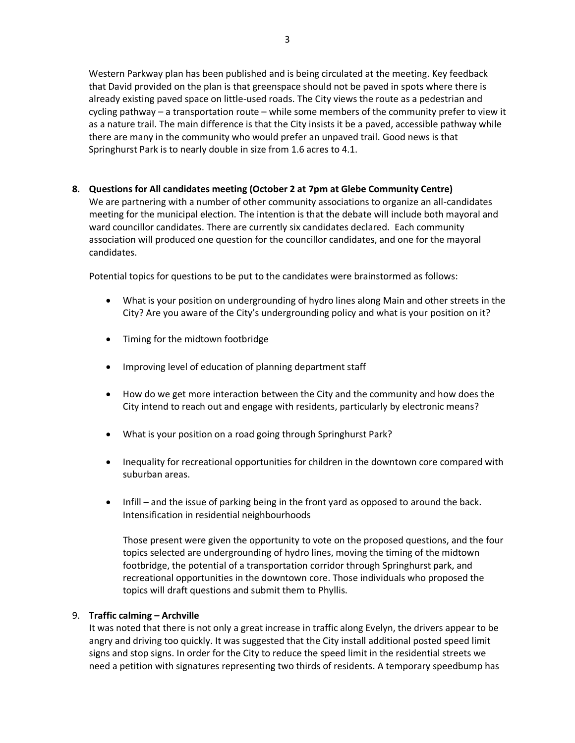Western Parkway plan has been published and is being circulated at the meeting. Key feedback that David provided on the plan is that greenspace should not be paved in spots where there is already existing paved space on little-used roads. The City views the route as a pedestrian and cycling pathway – a transportation route – while some members of the community prefer to view it as a nature trail. The main difference is that the City insists it be a paved, accessible pathway while there are many in the community who would prefer an unpaved trail. Good news is that Springhurst Park is to nearly double in size from 1.6 acres to 4.1.

# **8. Questions for All candidates meeting (October 2 at 7pm at Glebe Community Centre)**

We are partnering with a number of other community associations to organize an all-candidates meeting for the municipal election. The intention is that the debate will include both mayoral and ward councillor candidates. There are currently six candidates declared. Each community association will produced one question for the councillor candidates, and one for the mayoral candidates.

Potential topics for questions to be put to the candidates were brainstormed as follows:

- What is your position on undergrounding of hydro lines along Main and other streets in the City? Are you aware of the City's undergrounding policy and what is your position on it?
- Timing for the midtown footbridge
- Improving level of education of planning department staff
- How do we get more interaction between the City and the community and how does the City intend to reach out and engage with residents, particularly by electronic means?
- What is your position on a road going through Springhurst Park?
- Inequality for recreational opportunities for children in the downtown core compared with suburban areas.
- Infill and the issue of parking being in the front yard as opposed to around the back. Intensification in residential neighbourhoods

Those present were given the opportunity to vote on the proposed questions, and the four topics selected are undergrounding of hydro lines, moving the timing of the midtown footbridge, the potential of a transportation corridor through Springhurst park, and recreational opportunities in the downtown core. Those individuals who proposed the topics will draft questions and submit them to Phyllis.

# 9. **Traffic calming – Archville**

It was noted that there is not only a great increase in traffic along Evelyn, the drivers appear to be angry and driving too quickly. It was suggested that the City install additional posted speed limit signs and stop signs. In order for the City to reduce the speed limit in the residential streets we need a petition with signatures representing two thirds of residents. A temporary speedbump has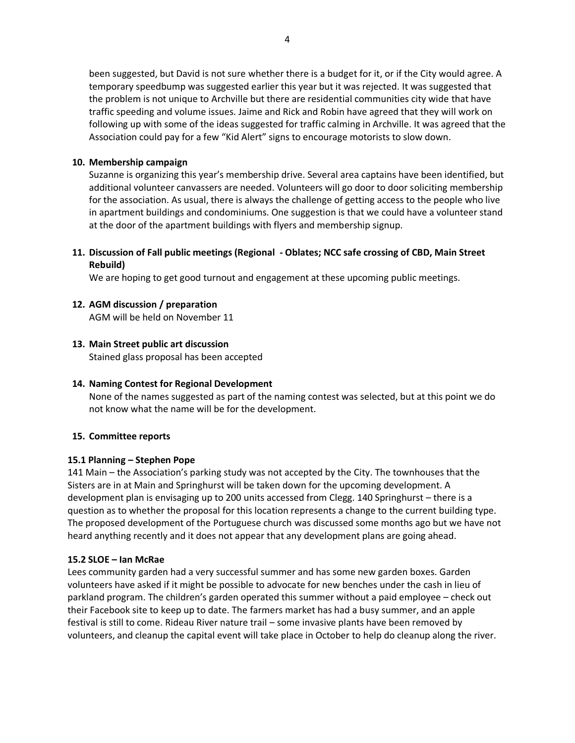been suggested, but David is not sure whether there is a budget for it, or if the City would agree. A temporary speedbump was suggested earlier this year but it was rejected. It was suggested that the problem is not unique to Archville but there are residential communities city wide that have traffic speeding and volume issues. Jaime and Rick and Robin have agreed that they will work on following up with some of the ideas suggested for traffic calming in Archville. It was agreed that the Association could pay for a few "Kid Alert" signs to encourage motorists to slow down.

# **10. Membership campaign**

Suzanne is organizing this year's membership drive. Several area captains have been identified, but additional volunteer canvassers are needed. Volunteers will go door to door soliciting membership for the association. As usual, there is always the challenge of getting access to the people who live in apartment buildings and condominiums. One suggestion is that we could have a volunteer stand at the door of the apartment buildings with flyers and membership signup.

# **11. Discussion of Fall public meetings (Regional - Oblates; NCC safe crossing of CBD, Main Street Rebuild)**

We are hoping to get good turnout and engagement at these upcoming public meetings.

# **12. AGM discussion / preparation**

AGM will be held on November 11

# **13. Main Street public art discussion**

Stained glass proposal has been accepted

# **14. Naming Contest for Regional Development**

None of the names suggested as part of the naming contest was selected, but at this point we do not know what the name will be for the development.

# **15. Committee reports**

# **15.1 Planning – Stephen Pope**

141 Main – the Association's parking study was not accepted by the City. The townhouses that the Sisters are in at Main and Springhurst will be taken down for the upcoming development. A development plan is envisaging up to 200 units accessed from Clegg. 140 Springhurst – there is a question as to whether the proposal for this location represents a change to the current building type. The proposed development of the Portuguese church was discussed some months ago but we have not heard anything recently and it does not appear that any development plans are going ahead.

# **15.2 SLOE – Ian McRae**

Lees community garden had a very successful summer and has some new garden boxes. Garden volunteers have asked if it might be possible to advocate for new benches under the cash in lieu of parkland program. The children's garden operated this summer without a paid employee – check out their Facebook site to keep up to date. The farmers market has had a busy summer, and an apple festival is still to come. Rideau River nature trail – some invasive plants have been removed by volunteers, and cleanup the capital event will take place in October to help do cleanup along the river.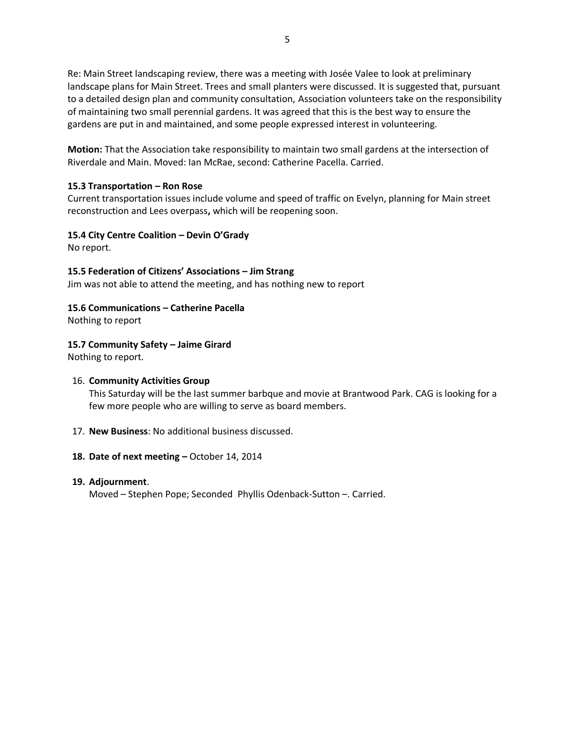Re: Main Street landscaping review, there was a meeting with Josée Valee to look at preliminary landscape plans for Main Street. Trees and small planters were discussed. It is suggested that, pursuant to a detailed design plan and community consultation, Association volunteers take on the responsibility of maintaining two small perennial gardens. It was agreed that this is the best way to ensure the gardens are put in and maintained, and some people expressed interest in volunteering.

**Motion:** That the Association take responsibility to maintain two small gardens at the intersection of Riverdale and Main. Moved: Ian McRae, second: Catherine Pacella. Carried.

#### **15.3 Transportation – Ron Rose**

Current transportation issues include volume and speed of traffic on Evelyn, planning for Main street reconstruction and Lees overpass**,** which will be reopening soon.

#### **15.4 City Centre Coalition – Devin O'Grady**

No report.

# **15.5 Federation of Citizens' Associations – Jim Strang**

Jim was not able to attend the meeting, and has nothing new to report

# **15.6 Communications – Catherine Pacella**

Nothing to report

# **15.7 Community Safety – Jaime Girard**

Nothing to report.

#### 16. **Community Activities Group**

This Saturday will be the last summer barbque and movie at Brantwood Park. CAG is looking for a few more people who are willing to serve as board members.

17. **New Business**: No additional business discussed.

#### **18. Date of next meeting –** October 14, 2014

#### **19. Adjournment**.

Moved – Stephen Pope; Seconded Phyllis Odenback-Sutton –. Carried.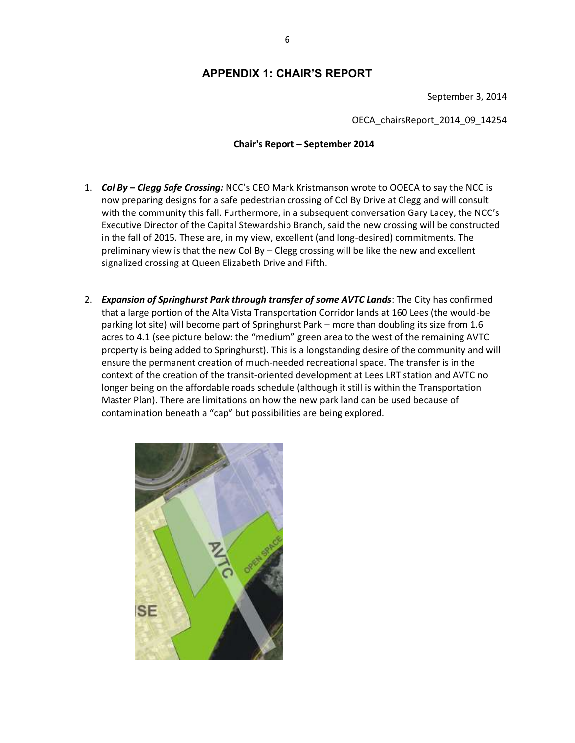# **APPENDIX 1: CHAIR'S REPORT**

September 3, 2014

OECA\_chairsReport\_2014\_09\_14254

# **Chair's Report – September 2014**

- 1. *Col By – Clegg Safe Crossing:* NCC's CEO Mark Kristmanson wrote to OOECA to say the NCC is now preparing designs for a safe pedestrian crossing of Col By Drive at Clegg and will consult with the community this fall. Furthermore, in a subsequent conversation Gary Lacey, the NCC's Executive Director of the Capital Stewardship Branch, said the new crossing will be constructed in the fall of 2015. These are, in my view, excellent (and long-desired) commitments. The preliminary view is that the new Col By – Clegg crossing will be like the new and excellent signalized crossing at Queen Elizabeth Drive and Fifth.
- 2. *Expansion of Springhurst Park through transfer of some AVTC Lands*: The City has confirmed that a large portion of the Alta Vista Transportation Corridor lands at 160 Lees (the would-be parking lot site) will become part of Springhurst Park – more than doubling its size from 1.6 acres to 4.1 (see picture below: the "medium" green area to the west of the remaining AVTC property is being added to Springhurst). This is a longstanding desire of the community and will ensure the permanent creation of much-needed recreational space. The transfer is in the context of the creation of the transit-oriented development at Lees LRT station and AVTC no longer being on the affordable roads schedule (although it still is within the Transportation Master Plan). There are limitations on how the new park land can be used because of contamination beneath a "cap" but possibilities are being explored.

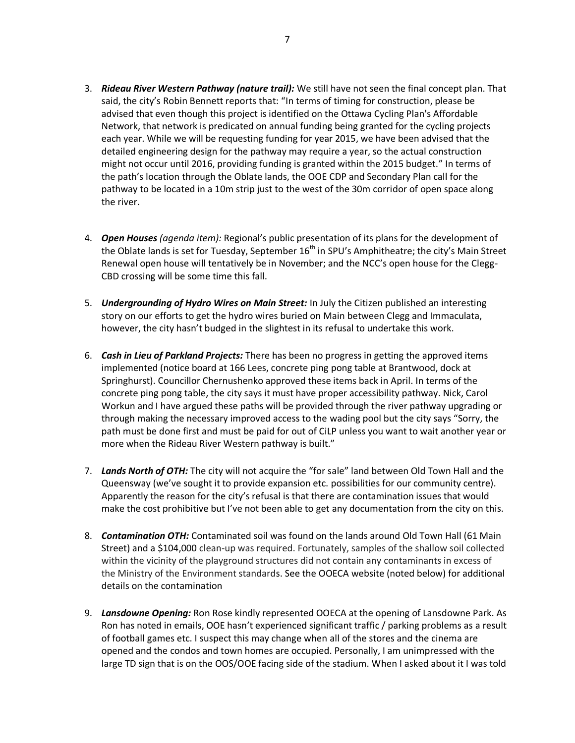- 3. *Rideau River Western Pathway (nature trail):* We still have not seen the final concept plan. That said, the city's Robin Bennett reports that: "In terms of timing for construction, please be advised that even though this project is identified on the Ottawa Cycling Plan's Affordable Network, that network is predicated on annual funding being granted for the cycling projects each year. While we will be requesting funding for year 2015, we have been advised that the detailed engineering design for the pathway may require a year, so the actual construction might not occur until 2016, providing funding is granted within the 2015 budget." In terms of the path's location through the Oblate lands, the OOE CDP and Secondary Plan call for the pathway to be located in a 10m strip just to the west of the 30m corridor of open space along the river.
- 4. *Open Houses (agenda item):* Regional's public presentation of its plans for the development of the Oblate lands is set for Tuesday, September  $16<sup>th</sup>$  in SPU's Amphitheatre; the city's Main Street Renewal open house will tentatively be in November; and the NCC's open house for the Clegg-CBD crossing will be some time this fall.
- 5. *Undergrounding of Hydro Wires on Main Street:* In July the Citizen published an interesting story on our efforts to get the hydro wires buried on Main between Clegg and Immaculata, however, the city hasn't budged in the slightest in its refusal to undertake this work.
- 6. *Cash in Lieu of Parkland Projects:* There has been no progress in getting the approved items implemented (notice board at 166 Lees, concrete ping pong table at Brantwood, dock at Springhurst). Councillor Chernushenko approved these items back in April. In terms of the concrete ping pong table, the city says it must have proper accessibility pathway. Nick, Carol Workun and I have argued these paths will be provided through the river pathway upgrading or through making the necessary improved access to the wading pool but the city says "Sorry, the path must be done first and must be paid for out of CiLP unless you want to wait another year or more when the Rideau River Western pathway is built."
- 7. *Lands North of OTH:* The city will not acquire the "for sale" land between Old Town Hall and the Queensway (we've sought it to provide expansion etc. possibilities for our community centre). Apparently the reason for the city's refusal is that there are contamination issues that would make the cost prohibitive but I've not been able to get any documentation from the city on this.
- 8. *Contamination OTH:* Contaminated soil was found on the lands around Old Town Hall (61 Main Street) and a \$104,000 clean-up was required. Fortunately, samples of the shallow soil collected within the vicinity of the playground structures did not contain any contaminants in excess of the Ministry of the Environment standards. See the OOECA website (noted below) for additional details on the contamination
- 9. *Lansdowne Opening:* Ron Rose kindly represented OOECA at the opening of Lansdowne Park. As Ron has noted in emails, OOE hasn't experienced significant traffic / parking problems as a result of football games etc. I suspect this may change when all of the stores and the cinema are opened and the condos and town homes are occupied. Personally, I am unimpressed with the large TD sign that is on the OOS/OOE facing side of the stadium. When I asked about it I was told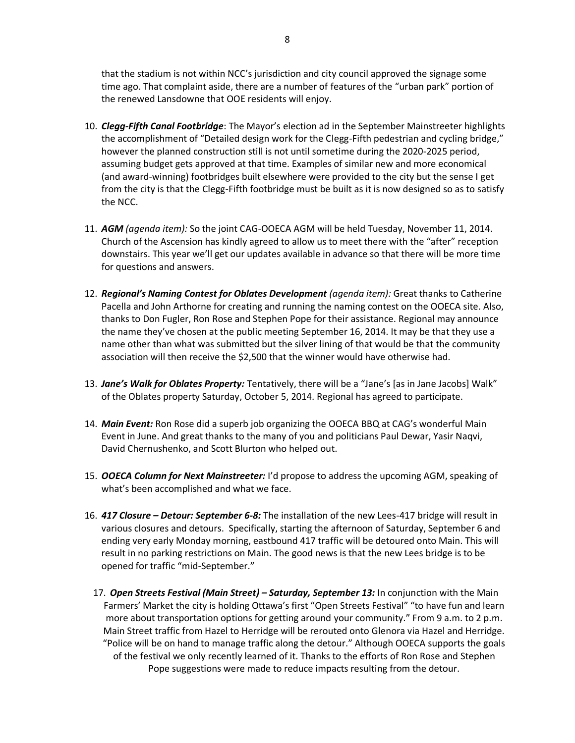that the stadium is not within NCC's jurisdiction and city council approved the signage some time ago. That complaint aside, there are a number of features of the "urban park" portion of the renewed Lansdowne that OOE residents will enjoy.

- 10. *Clegg-Fifth Canal Footbridge*: The Mayor's election ad in the September Mainstreeter highlights the accomplishment of "Detailed design work for the Clegg-Fifth pedestrian and cycling bridge," however the planned construction still is not until sometime during the 2020-2025 period, assuming budget gets approved at that time. Examples of similar new and more economical (and award-winning) footbridges built elsewhere were provided to the city but the sense I get from the city is that the Clegg-Fifth footbridge must be built as it is now designed so as to satisfy the NCC.
- 11. *AGM (agenda item):* So the joint CAG-OOECA AGM will be held Tuesday, November 11, 2014. Church of the Ascension has kindly agreed to allow us to meet there with the "after" reception downstairs. This year we'll get our updates available in advance so that there will be more time for questions and answers.
- 12. *Regional's Naming Contest for Oblates Development (agenda item):* Great thanks to Catherine Pacella and John Arthorne for creating and running the naming contest on the OOECA site. Also, thanks to Don Fugler, Ron Rose and Stephen Pope for their assistance. Regional may announce the name they've chosen at the public meeting September 16, 2014. It may be that they use a name other than what was submitted but the silver lining of that would be that the community association will then receive the \$2,500 that the winner would have otherwise had.
- 13. *Jane's Walk for Oblates Property:* Tentatively, there will be a "Jane's [as in Jane Jacobs] Walk" of the Oblates property Saturday, October 5, 2014. Regional has agreed to participate.
- 14. *Main Event:* Ron Rose did a superb job organizing the OOECA BBQ at CAG's wonderful Main Event in June. And great thanks to the many of you and politicians Paul Dewar, Yasir Naqvi, David Chernushenko, and Scott Blurton who helped out.
- 15. *OOECA Column for Next Mainstreeter:* I'd propose to address the upcoming AGM, speaking of what's been accomplished and what we face.
- 16. *417 Closure – Detour: September 6-8:* The installation of the new Lees-417 bridge will result in various closures and detours. Specifically, starting the afternoon of Saturday, September 6 and ending very early Monday morning, eastbound 417 traffic will be detoured onto Main. This will result in no parking restrictions on Main. The good news is that the new Lees bridge is to be opened for traffic "mid-September."
	- 17. *Open Streets Festival (Main Street) – Saturday, September 13:* In conjunction with the Main Farmers' Market the city is holding Ottawa's first "Open Streets Festival" "to have fun and learn more about transportation options for getting around your community." From 9 a.m. to 2 p.m. Main Street traffic from Hazel to Herridge will be rerouted onto Glenora via Hazel and Herridge. "Police will be on hand to manage traffic along the detour." Although OOECA supports the goals of the festival we only recently learned of it. Thanks to the efforts of Ron Rose and Stephen Pope suggestions were made to reduce impacts resulting from the detour.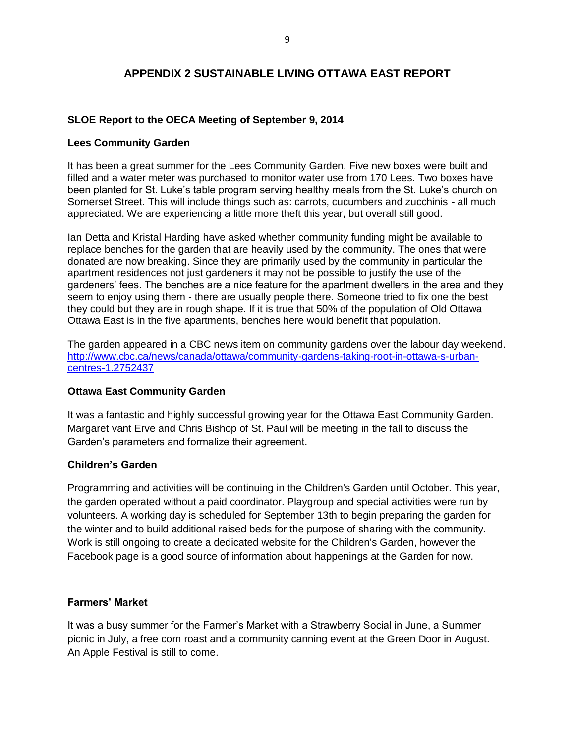# **APPENDIX 2 SUSTAINABLE LIVING OTTAWA EAST REPORT**

# **SLOE Report to the OECA Meeting of September 9, 2014**

# **Lees Community Garden**

It has been a great summer for the Lees Community Garden. Five new boxes were built and filled and a water meter was purchased to monitor water use from 170 Lees. Two boxes have been planted for St. Luke's table program serving healthy meals from the St. Luke's church on Somerset Street. This will include things such as: carrots, cucumbers and zucchinis - all much appreciated. We are experiencing a little more theft this year, but overall still good.

Ian Detta and Kristal Harding have asked whether community funding might be available to replace benches for the garden that are heavily used by the community. The ones that were donated are now breaking. Since they are primarily used by the community in particular the apartment residences not just gardeners it may not be possible to justify the use of the gardeners' fees. The benches are a nice feature for the apartment dwellers in the area and they seem to enjoy using them - there are usually people there. Someone tried to fix one the best they could but they are in rough shape. If it is true that 50% of the population of Old Ottawa Ottawa East is in the five apartments, benches here would benefit that population.

The garden appeared in a CBC news item on community gardens over the labour day weekend. [http://www.cbc.ca/news/canada/ottawa/community-gardens-taking-root-in-ottawa-s-urban](http://www.cbc.ca/news/canada/ottawa/community-gardens-taking-root-in-ottawa-s-urban-centres-1.2752437)[centres-1.2752437](http://www.cbc.ca/news/canada/ottawa/community-gardens-taking-root-in-ottawa-s-urban-centres-1.2752437)

# **Ottawa East Community Garden**

It was a fantastic and highly successful growing year for the Ottawa East Community Garden. Margaret vant Erve and Chris Bishop of St. Paul will be meeting in the fall to discuss the Garden's parameters and formalize their agreement.

# **Children's Garden**

Programming and activities will be continuing in the Children's Garden until October. This year, the garden operated without a paid coordinator. Playgroup and special activities were run by volunteers. A working day is scheduled for September 13th to begin preparing the garden for the winter and to build additional raised beds for the purpose of sharing with the community. Work is still ongoing to create a dedicated website for the Children's Garden, however the Facebook page is a good source of information about happenings at the Garden for now.

# **Farmers' Market**

It was a busy summer for the Farmer's Market with a Strawberry Social in June, a Summer picnic in July, a free corn roast and a community canning event at the Green Door in August. An Apple Festival is still to come.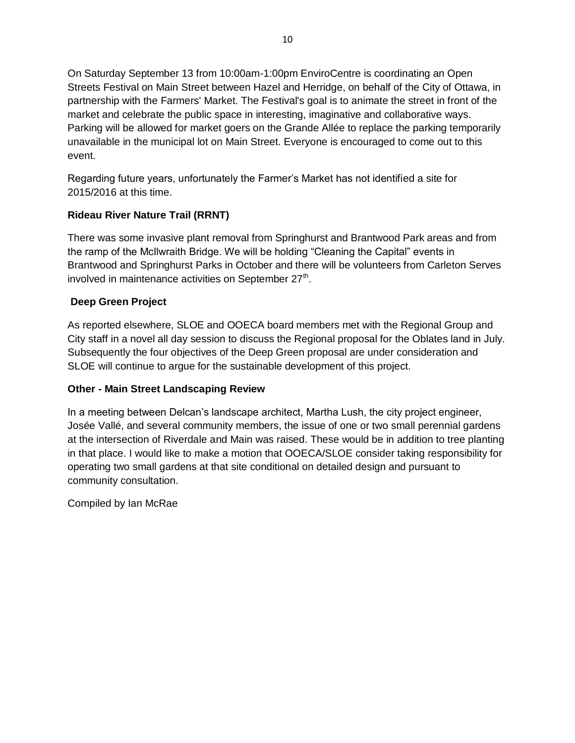On Saturday September 13 from 10:00am-1:00pm EnviroCentre is coordinating an Open Streets Festival on Main Street between Hazel and Herridge, on behalf of the City of Ottawa, in partnership with the Farmers' Market. The Festival's goal is to animate the street in front of the market and celebrate the public space in interesting, imaginative and collaborative ways. Parking will be allowed for market goers on the Grande Allée to replace the parking temporarily unavailable in the municipal lot on Main Street. Everyone is encouraged to come out to this event.

Regarding future years, unfortunately the Farmer's Market has not identified a site for 2015/2016 at this time.

# **Rideau River Nature Trail (RRNT)**

There was some invasive plant removal from Springhurst and Brantwood Park areas and from the ramp of the McIlwraith Bridge. We will be holding "Cleaning the Capital" events in Brantwood and Springhurst Parks in October and there will be volunteers from Carleton Serves involved in maintenance activities on September 27<sup>th</sup>.

# **Deep Green Project**

As reported elsewhere, SLOE and OOECA board members met with the Regional Group and City staff in a novel all day session to discuss the Regional proposal for the Oblates land in July. Subsequently the four objectives of the Deep Green proposal are under consideration and SLOE will continue to argue for the sustainable development of this project.

# **Other - Main Street Landscaping Review**

In a meeting between Delcan's landscape architect, Martha Lush, the city project engineer, Josée Vallé, and several community members, the issue of one or two small perennial gardens at the intersection of Riverdale and Main was raised. These would be in addition to tree planting in that place. I would like to make a motion that OOECA/SLOE consider taking responsibility for operating two small gardens at that site conditional on detailed design and pursuant to community consultation.

Compiled by Ian McRae